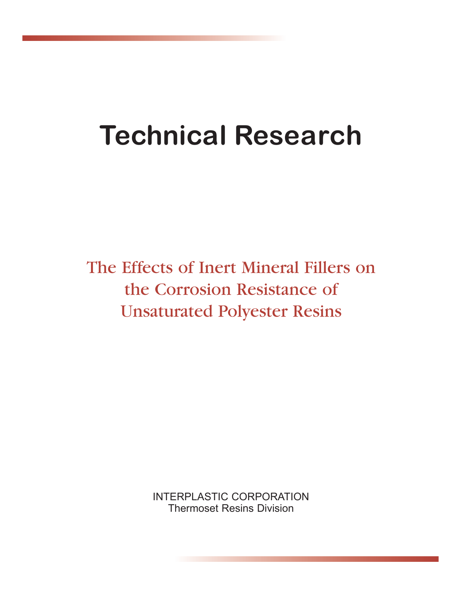# **Technical Research**

The Effects of Inert Mineral Fillers on the Corrosion Resistance of Unsaturated Polyester Resins

> INTERPLASTIC CORPORATION Thermoset Resins Division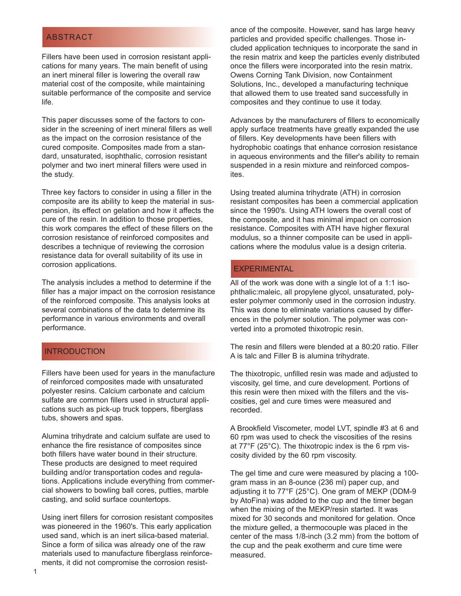#### ABSTRACT

Fillers have been used in corrosion resistant applications for many years. The main benefit of using an inert mineral filler is lowering the overall raw material cost of the composite, while maintaining suitable performance of the composite and service life.

This paper discusses some of the factors to consider in the screening of inert mineral fillers as well as the impact on the corrosion resistance of the cured composite. Composites made from a standard, unsaturated, isophthalic, corrosion resistant polymer and two inert mineral fillers were used in the study.

Three key factors to consider in using a filler in the composite are its ability to keep the material in suspension, its effect on gelation and how it affects the cure of the resin. In addition to those properties, this work compares the effect of these fillers on the corrosion resistance of reinforced composites and describes a technique of reviewing the corrosion resistance data for overall suitability of its use in corrosion applications.

The analysis includes a method to determine if the filler has a major impact on the corrosion resistance of the reinforced composite. This analysis looks at several combinations of the data to determine its performance in various environments and overall performance.

#### **INTRODUCTION**

Fillers have been used for years in the manufacture of reinforced composites made with unsaturated polyester resins. Calcium carbonate and calcium sulfate are common fillers used in structural applications such as pick-up truck toppers, fiberglass tubs, showers and spas.

Alumina trihydrate and calcium sulfate are used to enhance the fire resistance of composites since both fillers have water bound in their structure. These products are designed to meet required building and/or transportation codes and regulations. Applications include everything from commercial showers to bowling ball cores, putties, marble casting, and solid surface countertops.

Using inert fillers for corrosion resistant composites was pioneered in the 1960's. This early application used sand, which is an inert silica-based material. Since a form of silica was already one of the raw materials used to manufacture fiberglass reinforcements, it did not compromise the corrosion resistance of the composite. However, sand has large heavy particles and provided specific challenges. Those included application techniques to incorporate the sand in the resin matrix and keep the particles evenly distributed once the fillers were incorporated into the resin matrix. Owens Corning Tank Division, now Containment Solutions, Inc., developed a manufacturing technique that allowed them to use treated sand successfully in composites and they continue to use it today.

Advances by the manufacturers of fillers to economically apply surface treatments have greatly expanded the use of fillers. Key developments have been fillers with hydrophobic coatings that enhance corrosion resistance in aqueous environments and the filler's ability to remain suspended in a resin mixture and reinforced composites.

Using treated alumina trihydrate (ATH) in corrosion resistant composites has been a commercial application since the 1990's. Using ATH lowers the overall cost of the composite, and it has minimal impact on corrosion resistance. Composites with ATH have higher flexural modulus, so a thinner composite can be used in applications where the modulus value is a design criteria.

#### **EXPERIMENTAL**

All of the work was done with a single lot of a 1:1 isophthalic:maleic, all propylene glycol, unsaturated, polyester polymer commonly used in the corrosion industry. This was done to eliminate variations caused by differences in the polymer solution. The polymer was converted into a promoted thixotropic resin.

The resin and fillers were blended at a 80:20 ratio. Filler A is talc and Filler B is alumina trihydrate.

The thixotropic, unfilled resin was made and adjusted to viscosity, gel time, and cure development. Portions of this resin were then mixed with the fillers and the viscosities, gel and cure times were measured and recorded.

A Brookfield Viscometer, model LVT, spindle #3 at 6 and 60 rpm was used to check the viscosities of the resins at 77°F (25°C). The thixotropic index is the 6 rpm viscosity divided by the 60 rpm viscosity.

The gel time and cure were measured by placing a 100 gram mass in an 8-ounce (236 ml) paper cup, and adjusting it to 77°F (25°C). One gram of MEKP (DDM-9 by AtoFina) was added to the cup and the timer began when the mixing of the MEKP/resin started. It was mixed for 30 seconds and monitored for gelation. Once the mixture gelled, a thermocouple was placed in the center of the mass 1/8-inch (3.2 mm) from the bottom of the cup and the peak exotherm and cure time were measured.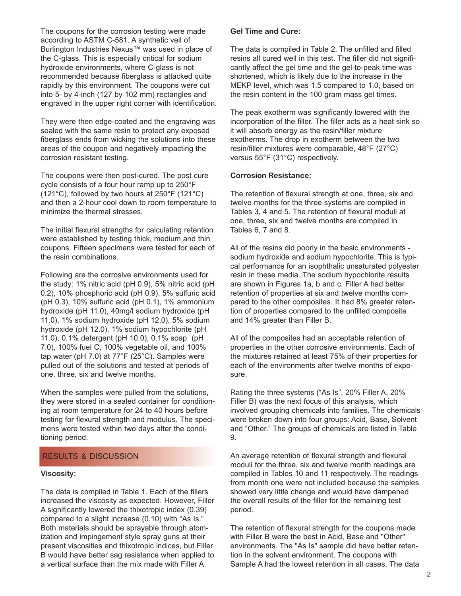The coupons for the corrosion testing were made according to ASTM C-581. A synthetic veil of Burlington Industries Nexus™ was used in place of the C-glass. This is especially critical for sodium hydroxide environments, where C-glass is not recommended because fiberglass is attacked quite rapidly by this environment. The coupons were cut into 5- by 4-inch (127 by 102 mm) rectangles and engraved in the upper right corner with identification.

They were then edge-coated and the engraving was sealed with the same resin to protect any exposed fiberglass ends from wicking the solutions into these areas of the coupon and negatively impacting the corrosion resistant testing.

The coupons were then post-cured. The post cure cycle consists of a four hour ramp up to 250°F (121°C), followed by two hours at 250°F (121°C) and then a 2-hour cool down to room temperature to minimize the thermal stresses.

The initial flexural strengths for calculating retention were established by testing thick, medium and thin coupons. Fifteen specimens were tested for each of the resin combinations.

Following are the corrosive environments used for the study: 1% nitric acid (pH 0.9), 5% nitric acid (pH 0.2), 10% phosphoric acid (pH 0.9), 5% sulfuric acid (pH 0.3), 10% sulfuric acid (pH 0.1), 1% ammonium hydroxide (pH 11.0), 40mg/l sodium hydroxide (pH 11.0), 1% sodium hydroxide (pH 12.0), 5% sodium hydroxide (pH 12.0), 1% sodium hypochlorite (pH 11.0), 0.1% detergent (pH 10.0), 0.1% soap (pH 7.0), 100% fuel C, 100% vegetable oil, and 100% tap water (pH 7.0) at 77°F (25°C). Samples were pulled out of the solutions and tested at periods of one, three, six and twelve months.

When the samples were pulled from the solutions, they were stored in a sealed container for conditioning at room temperature for 24 to 40 hours before testing for flexural strength and modulus. The specimens were tested within two days after the conditioning period.

#### RESULTS & DISCUSSION

#### **Viscosity:**

The data is compiled in Table 1. Each of the fillers increased the viscosity as expected. However, Filler A significantly lowered the thixotropic index (0.39) compared to a slight increase (0.10) with "As Is." Both materials should be sprayable through atomization and impingement style spray guns at their present viscosities and thixotropic indices, but Filler B would have better sag resistance when applied to a vertical surface than the mix made with Filler A.

#### **Gel Time and Cure:**

The data is compiled in Table 2. The unfilled and filled resins all cured well in this test. The filler did not significantly affect the gel time and the gel-to-peak time was shortened, which is likely due to the increase in the MEKP level, which was 1.5 compared to 1.0, based on the resin content in the 100 gram mass gel times.

The peak exotherm was significantly lowered with the incorporation of the filler. The filler acts as a heat sink so it will absorb energy as the resin/filler mixture exotherms. The drop in exotherm between the two resin/filler mixtures were comparable, 48°F (27°C) versus 55°F (31°C) respectively.

#### **Corrosion Resistance:**

The retention of flexural strength at one, three, six and twelve months for the three systems are compiled in Tables 3, 4 and 5. The retention of flexural moduli at one, three, six and twelve months are compiled in Tables 6, 7 and 8.

All of the resins did poorly in the basic environments sodium hydroxide and sodium hypochlorite. This is typical performance for an isophthalic unsaturated polyester resin in these media. The sodium hypochlorite results are shown in Figures 1a, b and c. Filler A had better retention of properties at six and twelve months compared to the other composites. It had 8% greater retention of properties compared to the unfilled composite and 14% greater than Filler B.

All of the composites had an acceptable retention of properties in the other corrosive environments. Each of the mixtures retained at least 75% of their properties for each of the environments after twelve months of exposure.

Rating the three systems ("As Is", 20% Filler A, 20% Filler B) was the next focus of this analysis, which involved grouping chemicals into families. The chemicals were broken down into four groups: Acid, Base, Solvent and "Other." The groups of chemicals are listed in Table 9.

An average retention of flexural strength and flexural moduli for the three, six and twelve month readings are compiled in Tables 10 and 11 respectively. The readings from month one were not included because the samples showed very little change and would have dampened the overall results of the filler for the remaining test period.

The retention of flexural strength for the coupons made with Filler B were the best in Acid, Base and "Other" environments. The "As Is" sample did have better retention in the solvent environment. The coupons with Sample A had the lowest retention in all cases. The data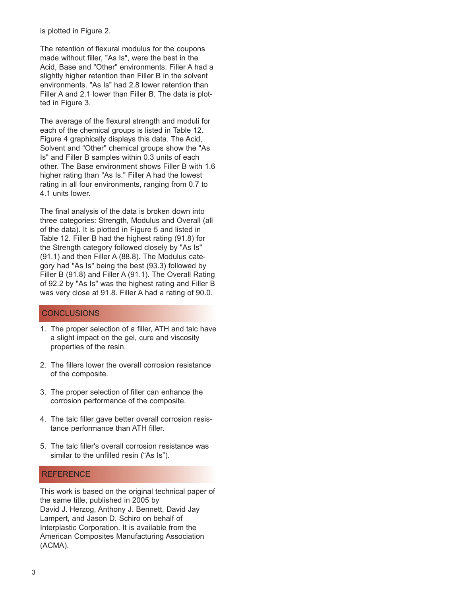is plotted in Figure 2.

The retention of flexural modulus for the coupons made without filler, "As Is", were the best in the Acid, Base and "Other" environments. Filler A had a slightly higher retention than Filler B in the solvent environments. "As Is" had 2.8 lower retention than Filler A and 2.1 lower than Filler B. The data is plotted in Figure 3.

The average of the flexural strength and moduli for each of the chemical groups is listed in Table 12. Figure 4 graphically displays this data. The Acid, Solvent and "Other" chemical groups show the "As Is" and Filler B samples within 0.3 units of each other. The Base environment shows Filler B with 1.6 higher rating than "As Is." Filler A had the lowest rating in all four environments, ranging from 0.7 to 4.1 units lower.

The final analysis of the data is broken down into three categories: Strength, Modulus and Overall (all of the data). It is plotted in Figure 5 and listed in Table 12. Filler B had the highest rating (91.8) for the Strength category followed closely by "As Is" (91.1) and then Filler A (88.8). The Modulus category had "As Is" being the best (93.3) followed by Filler B (91.8) and Filler A (91.1). The Overall Rating of 92.2 by "As Is" was the highest rating and Filler B was very close at 91.8. Filler A had a rating of 90.0.

#### **CONCLUSIONS**

- 1. The proper selection of a filler, ATH and talc have a slight impact on the gel, cure and viscosity properties of the resin.
- 2. The fillers lower the overall corrosion resistance of the composite.
- 3. The proper selection of filler can enhance the corrosion performance of the composite.
- 4. The talc filler gave better overall corrosion resistance performance than ATH filler.
- 5. The talc filler's overall corrosion resistance was similar to the unfilled resin ("As Is").

#### **REFERENCE**

This work is based on the original technical paper of the same title, published in 2005 by David J. Herzog, Anthony J. Bennett, David Jay Lampert, and Jason D. Schiro on behalf of Interplastic Corporation. It is available from the American Composites Manufacturing Association (ACMA).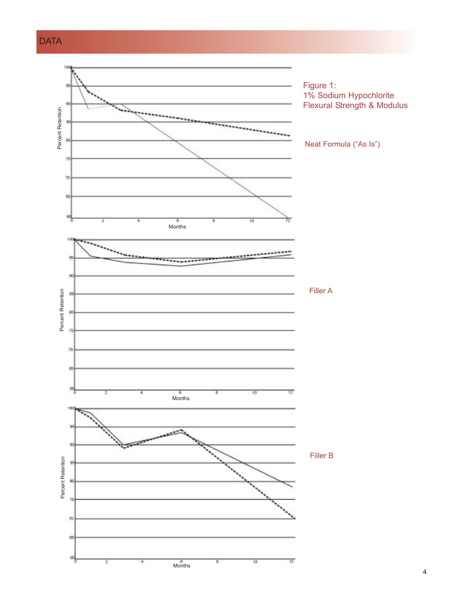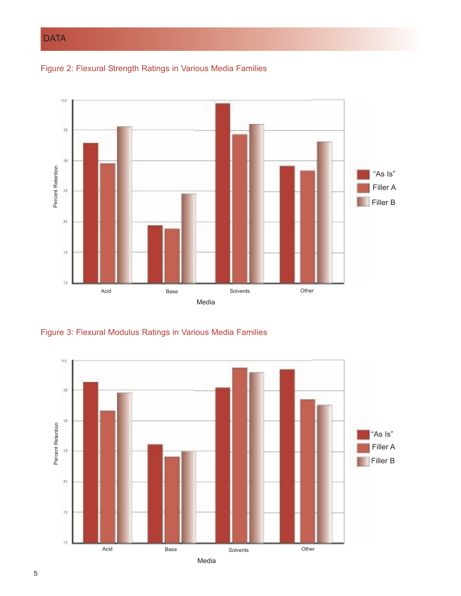# **DATA**





Figure 3: Flexural Modulus Ratings in Various Media Families

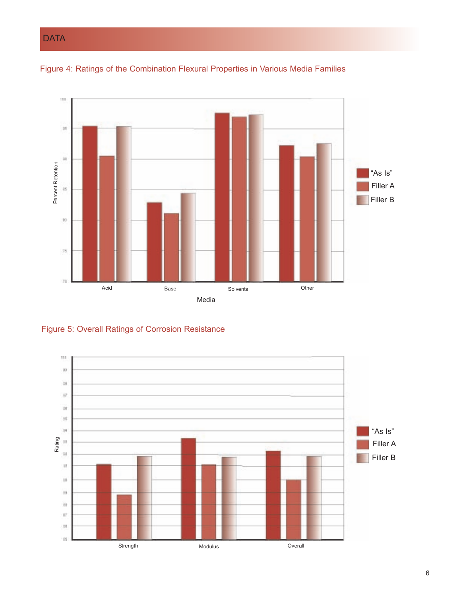# **DATA**





Figure 5: Overall Ratings of Corrosion Resistance

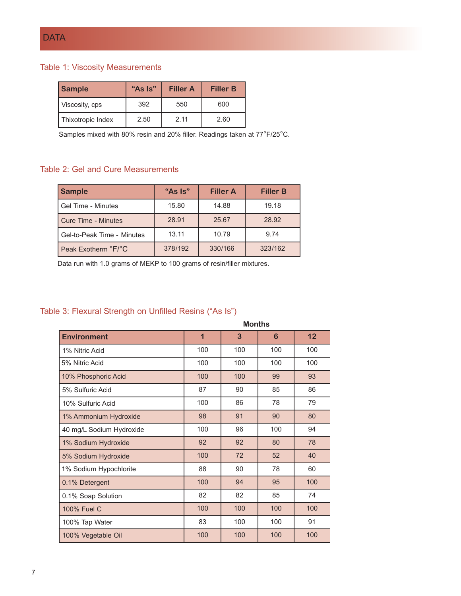#### Table 1: Viscosity Measurements

| <b>Sample</b>     | "As Is" | <b>Filler A</b> | <b>Filler B</b> |
|-------------------|---------|-----------------|-----------------|
| Viscosity, cps    | 392     | 550             | 600             |
| Thixotropic Index | 2.50    | 2 11            | 2.60            |

Samples mixed with 80% resin and 20% filler. Readings taken at 77°F/25°C.

#### Table 2: Gel and Cure Measurements

| <b>Sample</b>              | "As Is" | <b>Filler A</b> | <b>Filler B</b> |
|----------------------------|---------|-----------------|-----------------|
| Gel Time - Minutes         | 15.80   | 14.88           | 19.18           |
| Cure Time - Minutes        | 28.91   | 25.67           | 28.92           |
| Gel-to-Peak Time - Minutes | 13.11   | 10.79           | 9.74            |
| Peak Exotherm °F/°C        | 378/192 | 330/166         | 323/162         |

Data run with 1.0 grams of MEKP to 100 grams of resin/filler mixtures.

### Table 3: Flexural Strength on Unfilled Resins ("As Is")

|                          | <b>Months</b>  |     |     |     |
|--------------------------|----------------|-----|-----|-----|
| <b>Environment</b>       | $\overline{1}$ | 3   | 6   | 12  |
| 1% Nitric Acid           | 100            | 100 | 100 | 100 |
| 5% Nitric Acid           | 100            | 100 | 100 | 100 |
| 10% Phosphoric Acid      | 100            | 100 | 99  | 93  |
| 5% Sulfuric Acid         | 87             | 90  | 85  | 86  |
| 10% Sulfuric Acid        | 100            | 86  | 78  | 79  |
| 1% Ammonium Hydroxide    | 98             | 91  | 90  | 80  |
| 40 mg/L Sodium Hydroxide | 100            | 96  | 100 | 94  |
| 1% Sodium Hydroxide      | 92             | 92  | 80  | 78  |
| 5% Sodium Hydroxide      | 100            | 72  | 52  | 40  |
| 1% Sodium Hypochlorite   | 88             | 90  | 78  | 60  |
| 0.1% Detergent           | 100            | 94  | 95  | 100 |
| 0.1% Soap Solution       | 82             | 82  | 85  | 74  |
| 100% Fuel C              | 100            | 100 | 100 | 100 |
| 100% Tap Water           | 83             | 100 | 100 | 91  |
| 100% Vegetable Oil       | 100            | 100 | 100 | 100 |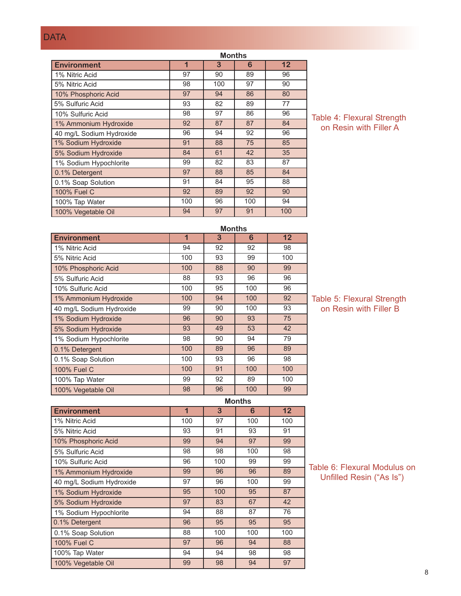# **DATA**

|                          | <b>Months</b> |     |     |     |
|--------------------------|---------------|-----|-----|-----|
| <b>Environment</b>       | 1             | 3   | 6   | 12  |
| 1% Nitric Acid           | 97            | 90  | 89  | 96  |
| 5% Nitric Acid           | 98            | 100 | 97  | 90  |
| 10% Phosphoric Acid      | 97            | 94  | 86  | 80  |
| 5% Sulfuric Acid         | 93            | 82  | 89  | 77  |
| 10% Sulfuric Acid        | 98            | 97  | 86  | 96  |
| 1% Ammonium Hydroxide    | 92            | 87  | 87  | 84  |
| 40 mg/L Sodium Hydroxide | 96            | 94  | 92  | 96  |
| 1% Sodium Hydroxide      | 91            | 88  | 75  | 85  |
| 5% Sodium Hydroxide      | 84            | 61  | 42  | 35  |
| 1% Sodium Hypochlorite   | 99            | 82  | 83  | 87  |
| 0.1% Detergent           | 97            | 88  | 85  | 84  |
| 0.1% Soap Solution       | 91            | 84  | 95  | 88  |
| 100% Fuel C              | 92            | 89  | 92  | 90  |
| 100% Tap Water           | 100           | 96  | 100 | 94  |
| 100% Vegetable Oil       | 94            | 97  | 91  | 100 |

Table 4: Flexural Strength on Resin with Filler A

|                          | <b>Months</b> |    |     |     |
|--------------------------|---------------|----|-----|-----|
| <b>Environment</b>       | 1             | 3  | 6   | 12  |
| 1% Nitric Acid           | 94            | 92 | 92  | 98  |
| 5% Nitric Acid           | 100           | 93 | 99  | 100 |
| 10% Phosphoric Acid      | 100           | 88 | 90  | 99  |
| 5% Sulfuric Acid         | 88            | 93 | 96  | 96  |
| 10% Sulfuric Acid        | 100           | 95 | 100 | 96  |
| 1% Ammonium Hydroxide    | 100           | 94 | 100 | 92  |
| 40 mg/L Sodium Hydroxide | 99            | 90 | 100 | 93  |
| 1% Sodium Hydroxide      | 96            | 90 | 93  | 75  |
| 5% Sodium Hydroxide      | 93            | 49 | 53  | 42  |
| 1% Sodium Hypochlorite   | 98            | 90 | 94  | 79  |
| 0.1% Detergent           | 100           | 89 | 96  | 89  |
| 0.1% Soap Solution       | 100           | 93 | 96  | 98  |
| 100% Fuel C              | 100           | 91 | 100 | 100 |
| 100% Tap Water           | 99            | 92 | 89  | 100 |
| 100% Vegetable Oil       | 98            | 96 | 100 | 99  |
|                          |               |    |     |     |

Table 5: Flexural Strength on Resin with Filler B

|                          | <b>Months</b> |     |     |     |
|--------------------------|---------------|-----|-----|-----|
| <b>Environment</b>       | 1             | 3   | 6   | 12  |
| 1% Nitric Acid           | 100           | 97  | 100 | 100 |
| 5% Nitric Acid           | 93            | 91  | 93  | 91  |
| 10% Phosphoric Acid      | 99            | 94  | 97  | 99  |
| 5% Sulfuric Acid         | 98            | 98  | 100 | 98  |
| 10% Sulfuric Acid        | 96            | 100 | 99  | 99  |
| 1% Ammonium Hydroxide    | 99            | 96  | 96  | 89  |
| 40 mg/L Sodium Hydroxide | 97            | 96  | 100 | 99  |
| 1% Sodium Hydroxide      | 95            | 100 | 95  | 87  |
| 5% Sodium Hydroxide      | 97            | 83  | 67  | 42  |
| 1% Sodium Hypochlorite   | 94            | 88  | 87  | 76  |
| 0.1% Detergent           | 96            | 95  | 95  | 95  |
| 0.1% Soap Solution       | 88            | 100 | 100 | 100 |
| 100% Fuel C              | 97            | 96  | 94  | 88  |
| 100% Tap Water           | 94            | 94  | 98  | 98  |
| 100% Vegetable Oil       | 99            | 98  | 94  | 97  |

Table 6: Flexural Modulus on Unfilled Resin ("As Is")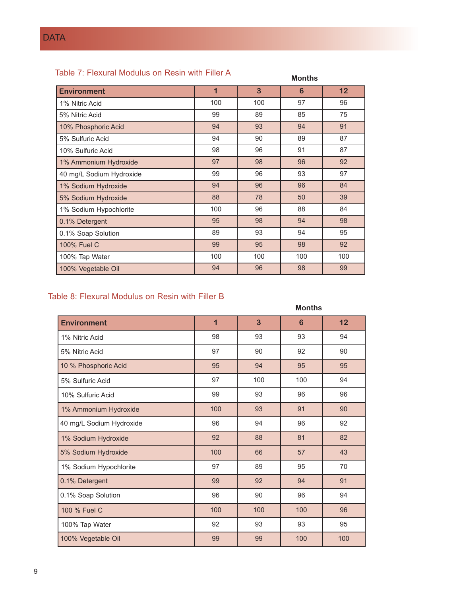## Table 7: Flexural Modulus on Resin with Filler A

| Table 7: Flexural Modulus on Resin with Filler A |                         |     | <b>Months</b> |     |
|--------------------------------------------------|-------------------------|-----|---------------|-----|
| <b>Environment</b>                               | $\overline{\mathbf{1}}$ | 3   | 6             | 12  |
| 1% Nitric Acid                                   | 100                     | 100 | 97            | 96  |
| 5% Nitric Acid                                   | 99                      | 89  | 85            | 75  |
| 10% Phosphoric Acid                              | 94                      | 93  | 94            | 91  |
| 5% Sulfuric Acid                                 | 94                      | 90  | 89            | 87  |
| 10% Sulfuric Acid                                | 98                      | 96  | 91            | 87  |
| 1% Ammonium Hydroxide                            | 97                      | 98  | 96            | 92  |
| 40 mg/L Sodium Hydroxide                         | 99                      | 96  | 93            | 97  |
| 1% Sodium Hydroxide                              | 94                      | 96  | 96            | 84  |
| 5% Sodium Hydroxide                              | 88                      | 78  | 50            | 39  |
| 1% Sodium Hypochlorite                           | 100                     | 96  | 88            | 84  |
| 0.1% Detergent                                   | 95                      | 98  | 94            | 98  |
| 0.1% Soap Solution                               | 89                      | 93  | 94            | 95  |
| 100% Fuel C                                      | 99                      | 95  | 98            | 92  |
| 100% Tap Water                                   | 100                     | 100 | 100           | 100 |
| 100% Vegetable Oil                               | 94                      | 96  | 98            | 99  |

## Table 8: Flexural Modulus on Resin with Filler B

|                          | <b>Months</b> |     |                 |     |
|--------------------------|---------------|-----|-----------------|-----|
| <b>Environment</b>       | 1             | 3   | $6\phantom{1}6$ | 12  |
| 1% Nitric Acid           | 98            | 93  | 93              | 94  |
| 5% Nitric Acid           | 97            | 90  | 92              | 90  |
| 10 % Phosphoric Acid     | 95            | 94  | 95              | 95  |
| 5% Sulfuric Acid         | 97            | 100 | 100             | 94  |
| 10% Sulfuric Acid        | 99            | 93  | 96              | 96  |
| 1% Ammonium Hydroxide    | 100           | 93  | 91              | 90  |
| 40 mg/L Sodium Hydroxide | 96            | 94  | 96              | 92  |
| 1% Sodium Hydroxide      | 92            | 88  | 81              | 82  |
| 5% Sodium Hydroxide      | 100           | 66  | 57              | 43  |
| 1% Sodium Hypochlorite   | 97            | 89  | 95              | 70  |
| 0.1% Detergent           | 99            | 92  | 94              | 91  |
| 0.1% Soap Solution       | 96            | 90  | 96              | 94  |
| 100 % Fuel C             | 100           | 100 | 100             | 96  |
| 100% Tap Water           | 92            | 93  | 93              | 95  |
| 100% Vegetable Oil       | 99            | 99  | 100             | 100 |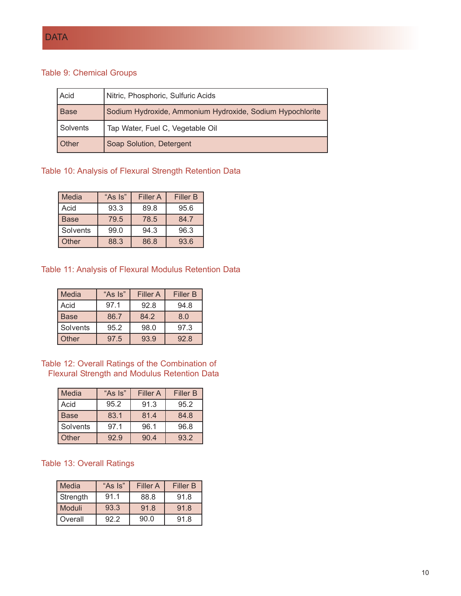## Table 9: Chemical Groups

| Acid     | Nitric, Phosphoric, Sulfuric Acids                        |
|----------|-----------------------------------------------------------|
| Base     | Sodium Hydroxide, Ammonium Hydroxide, Sodium Hypochlorite |
| Solvents | Tap Water, Fuel C, Vegetable Oil                          |
| Other    | Soap Solution, Detergent                                  |

## Table 10: Analysis of Flexural Strength Retention Data

| Media       | "As Is" | <b>Filler A</b> | <b>Filler B</b> |
|-------------|---------|-----------------|-----------------|
| Acid        | 93.3    | 89.8            | 95.6            |
| <b>Base</b> | 79.5    | 78.5            | 84.7            |
| Solvents    | 99.0    | 94.3            | 96.3            |
| Other       | 88.3    | 86.8            | 93.6            |

#### Table 11: Analysis of Flexural Modulus Retention Data

| Media    | "As Is" | <b>Filler A</b> | <b>Filler B</b> |
|----------|---------|-----------------|-----------------|
| Acid     | 97.1    | 92.8            | 94.8            |
| Base     | 86.7    | 84.2            | 8.0             |
| Solvents | 95.2    | 98.0            | 97.3            |
| Other    | 97.5    | 93.9            | 92.8            |

Table 12: Overall Ratings of the Combination of Flexural Strength and Modulus Retention Data

| Media    | "As Is" | Filler A | <b>Filler B</b> |
|----------|---------|----------|-----------------|
| Acid     | 95.2    | 91.3     | 95.2            |
| Base     | 83.1    | 81.4     | 84.8            |
| Solvents | 97.1    | 96.1     | 96.8            |
| Other    | 92.9    | 90.4     | 93.2            |

#### Table 13: Overall Ratings

| Media    | "As Is" | <b>Filler A</b> | <b>Filler B</b> |
|----------|---------|-----------------|-----------------|
| Strength | 91.1    | 88.8            | 91.8            |
| l Moduli | 93.3    | 91.8            | 91.8            |
| Overall  | 92.2    | 90.0            | 91.8            |